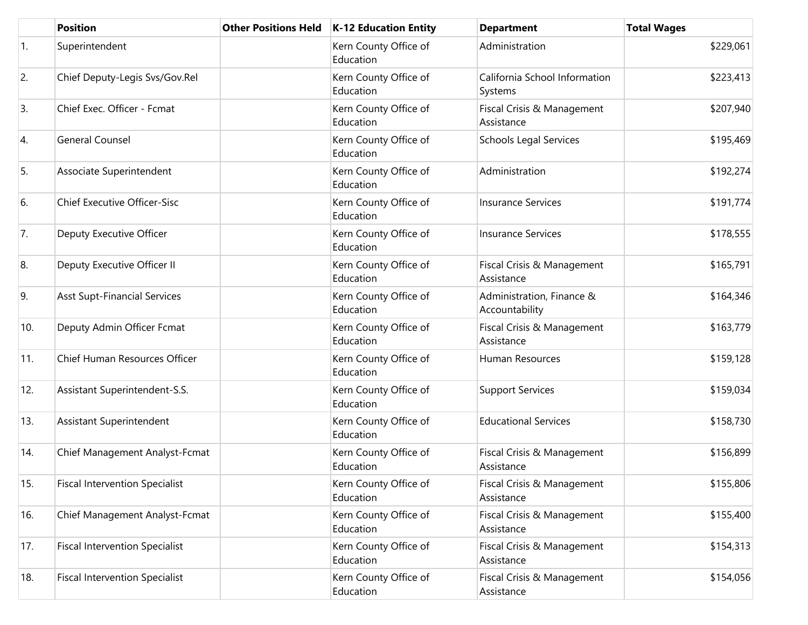|                | <b>Position</b>                       | <b>Other Positions Held</b> | <b>K-12 Education Entity</b>       | <b>Department</b>                           | <b>Total Wages</b> |
|----------------|---------------------------------------|-----------------------------|------------------------------------|---------------------------------------------|--------------------|
| $\mathbf{1}$ . | Superintendent                        |                             | Kern County Office of<br>Education | Administration                              | \$229,061          |
| 2.             | Chief Deputy-Legis Svs/Gov.Rel        |                             | Kern County Office of<br>Education | California School Information<br>Systems    | \$223,413          |
| 3.             | Chief Exec. Officer - Fcmat           |                             | Kern County Office of<br>Education | Fiscal Crisis & Management<br>Assistance    | \$207,940          |
| 4.             | <b>General Counsel</b>                |                             | Kern County Office of<br>Education | <b>Schools Legal Services</b>               | \$195,469          |
| 5.             | Associate Superintendent              |                             | Kern County Office of<br>Education | Administration                              | \$192,274          |
| 6.             | <b>Chief Executive Officer-Sisc</b>   |                             | Kern County Office of<br>Education | <b>Insurance Services</b>                   | \$191,774          |
| 7.             | Deputy Executive Officer              |                             | Kern County Office of<br>Education | <b>Insurance Services</b>                   | \$178,555          |
| 8.             | Deputy Executive Officer II           |                             | Kern County Office of<br>Education | Fiscal Crisis & Management<br>Assistance    | \$165,791          |
| 9.             | <b>Asst Supt-Financial Services</b>   |                             | Kern County Office of<br>Education | Administration, Finance &<br>Accountability | \$164,346          |
| 10.            | Deputy Admin Officer Fcmat            |                             | Kern County Office of<br>Education | Fiscal Crisis & Management<br>Assistance    | \$163,779          |
| 11.            | Chief Human Resources Officer         |                             | Kern County Office of<br>Education | Human Resources                             | \$159,128          |
| 12.            | Assistant Superintendent-S.S.         |                             | Kern County Office of<br>Education | <b>Support Services</b>                     | \$159,034          |
| 13.            | Assistant Superintendent              |                             | Kern County Office of<br>Education | <b>Educational Services</b>                 | \$158,730          |
| 14.            | Chief Management Analyst-Fcmat        |                             | Kern County Office of<br>Education | Fiscal Crisis & Management<br>Assistance    | \$156,899          |
| 15.            | <b>Fiscal Intervention Specialist</b> |                             | Kern County Office of<br>Education | Fiscal Crisis & Management<br>Assistance    | \$155,806          |
| 16.            | Chief Management Analyst-Fcmat        |                             | Kern County Office of<br>Education | Fiscal Crisis & Management<br>Assistance    | \$155,400          |
| 17.            | <b>Fiscal Intervention Specialist</b> |                             | Kern County Office of<br>Education | Fiscal Crisis & Management<br>Assistance    | \$154,313          |
| 18.            | <b>Fiscal Intervention Specialist</b> |                             | Kern County Office of<br>Education | Fiscal Crisis & Management<br>Assistance    | \$154,056          |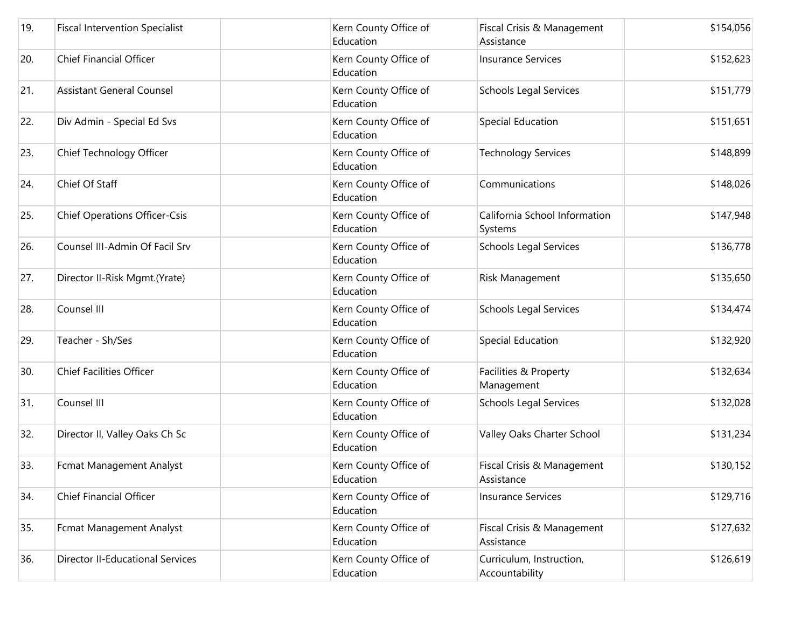| 19. | <b>Fiscal Intervention Specialist</b>   | Kern County Office of<br>Education | Fiscal Crisis & Management<br>Assistance   | \$154,056 |
|-----|-----------------------------------------|------------------------------------|--------------------------------------------|-----------|
| 20. | <b>Chief Financial Officer</b>          | Kern County Office of<br>Education | <b>Insurance Services</b>                  | \$152,623 |
| 21. | <b>Assistant General Counsel</b>        | Kern County Office of<br>Education | <b>Schools Legal Services</b>              | \$151,779 |
| 22. | Div Admin - Special Ed Svs              | Kern County Office of<br>Education | <b>Special Education</b>                   | \$151,651 |
| 23. | Chief Technology Officer                | Kern County Office of<br>Education | <b>Technology Services</b>                 | \$148,899 |
| 24. | Chief Of Staff                          | Kern County Office of<br>Education | Communications                             | \$148,026 |
| 25. | <b>Chief Operations Officer-Csis</b>    | Kern County Office of<br>Education | California School Information<br>Systems   | \$147,948 |
| 26. | Counsel III-Admin Of Facil Srv          | Kern County Office of<br>Education | <b>Schools Legal Services</b>              | \$136,778 |
| 27. | Director II-Risk Mgmt.(Yrate)           | Kern County Office of<br>Education | Risk Management                            | \$135,650 |
| 28. | Counsel III                             | Kern County Office of<br>Education | <b>Schools Legal Services</b>              | \$134,474 |
| 29. | Teacher - Sh/Ses                        | Kern County Office of<br>Education | Special Education                          | \$132,920 |
| 30. | <b>Chief Facilities Officer</b>         | Kern County Office of<br>Education | Facilities & Property<br>Management        | \$132,634 |
| 31. | Counsel III                             | Kern County Office of<br>Education | <b>Schools Legal Services</b>              | \$132,028 |
| 32. | Director II, Valley Oaks Ch Sc          | Kern County Office of<br>Education | Valley Oaks Charter School                 | \$131,234 |
| 33. | <b>Fcmat Management Analyst</b>         | Kern County Office of<br>Education | Fiscal Crisis & Management<br>Assistance   | \$130,152 |
| 34. | <b>Chief Financial Officer</b>          | Kern County Office of<br>Education | <b>Insurance Services</b>                  | \$129,716 |
| 35. | Fcmat Management Analyst                | Kern County Office of<br>Education | Fiscal Crisis & Management<br>Assistance   | \$127,632 |
| 36. | <b>Director II-Educational Services</b> | Kern County Office of<br>Education | Curriculum, Instruction,<br>Accountability | \$126,619 |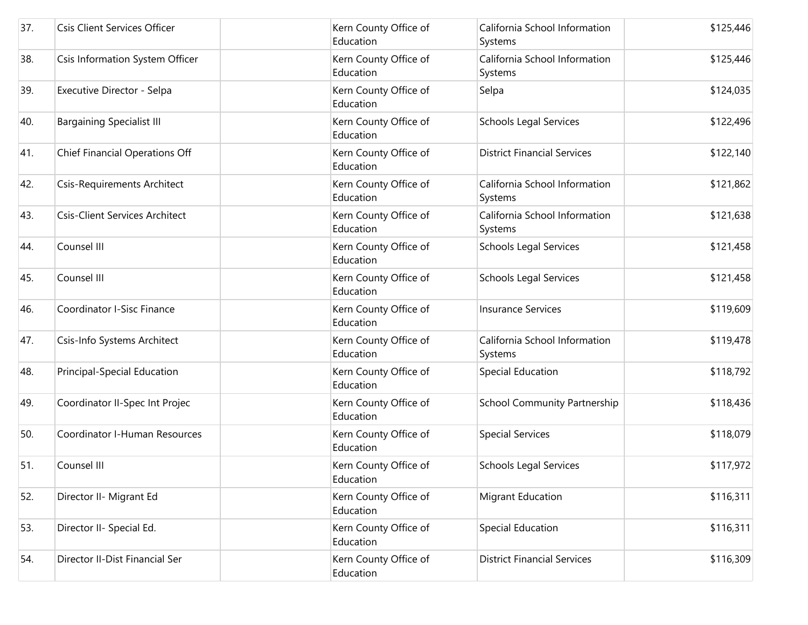| 37. | <b>Csis Client Services Officer</b>   | Kern County Office of<br>Education | California School Information<br>Systems | \$125,446 |
|-----|---------------------------------------|------------------------------------|------------------------------------------|-----------|
| 38. | Csis Information System Officer       | Kern County Office of<br>Education | California School Information<br>Systems | \$125,446 |
| 39. | Executive Director - Selpa            | Kern County Office of<br>Education | Selpa                                    | \$124,035 |
| 40. | <b>Bargaining Specialist III</b>      | Kern County Office of<br>Education | <b>Schools Legal Services</b>            | \$122,496 |
| 41. | Chief Financial Operations Off        | Kern County Office of<br>Education | <b>District Financial Services</b>       | \$122,140 |
| 42. | <b>Csis-Requirements Architect</b>    | Kern County Office of<br>Education | California School Information<br>Systems | \$121,862 |
| 43. | <b>Csis-Client Services Architect</b> | Kern County Office of<br>Education | California School Information<br>Systems | \$121,638 |
| 44. | Counsel III                           | Kern County Office of<br>Education | <b>Schools Legal Services</b>            | \$121,458 |
| 45. | Counsel III                           | Kern County Office of<br>Education | <b>Schools Legal Services</b>            | \$121,458 |
| 46. | Coordinator I-Sisc Finance            | Kern County Office of<br>Education | <b>Insurance Services</b>                | \$119,609 |
| 47. | Csis-Info Systems Architect           | Kern County Office of<br>Education | California School Information<br>Systems | \$119,478 |
| 48. | Principal-Special Education           | Kern County Office of<br>Education | Special Education                        | \$118,792 |
| 49. | Coordinator II-Spec Int Projec        | Kern County Office of<br>Education | <b>School Community Partnership</b>      | \$118,436 |
| 50. | Coordinator I-Human Resources         | Kern County Office of<br>Education | <b>Special Services</b>                  | \$118,079 |
| 51. | Counsel III                           | Kern County Office of<br>Education | <b>Schools Legal Services</b>            | \$117,972 |
| 52. | Director II- Migrant Ed               | Kern County Office of<br>Education | Migrant Education                        | \$116,311 |
| 53. | Director II- Special Ed.              | Kern County Office of<br>Education | <b>Special Education</b>                 | \$116,311 |
| 54. | Director II-Dist Financial Ser        | Kern County Office of<br>Education | <b>District Financial Services</b>       | \$116,309 |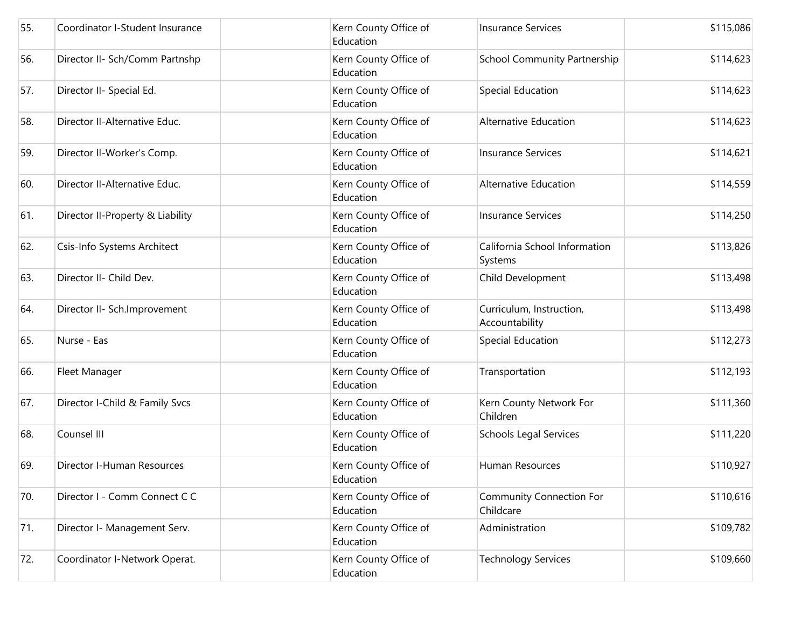| 55. | Coordinator I-Student Insurance  | Kern County Office of<br>Education | <b>Insurance Services</b>                    | \$115,086 |
|-----|----------------------------------|------------------------------------|----------------------------------------------|-----------|
| 56. | Director II- Sch/Comm Partnshp   | Kern County Office of<br>Education | <b>School Community Partnership</b>          | \$114,623 |
| 57. | Director II- Special Ed.         | Kern County Office of<br>Education | <b>Special Education</b>                     | \$114,623 |
| 58. | Director II-Alternative Educ.    | Kern County Office of<br>Education | Alternative Education                        | \$114,623 |
| 59. | Director II-Worker's Comp.       | Kern County Office of<br>Education | <b>Insurance Services</b>                    | \$114,621 |
| 60. | Director II-Alternative Educ.    | Kern County Office of<br>Education | Alternative Education                        | \$114,559 |
| 61. | Director II-Property & Liability | Kern County Office of<br>Education | <b>Insurance Services</b>                    | \$114,250 |
| 62. | Csis-Info Systems Architect      | Kern County Office of<br>Education | California School Information<br>Systems     | \$113,826 |
| 63. | Director II- Child Dev.          | Kern County Office of<br>Education | Child Development                            | \$113,498 |
| 64. | Director II- Sch.Improvement     | Kern County Office of<br>Education | Curriculum, Instruction,<br>Accountability   | \$113,498 |
| 65. | Nurse - Eas                      | Kern County Office of<br>Education | Special Education                            | \$112,273 |
| 66. | Fleet Manager                    | Kern County Office of<br>Education | Transportation                               | \$112,193 |
| 67. | Director I-Child & Family Svcs   | Kern County Office of<br>Education | Kern County Network For<br>Children          | \$111,360 |
| 68. | Counsel III                      | Kern County Office of<br>Education | <b>Schools Legal Services</b>                | \$111,220 |
| 69. | Director I-Human Resources       | Kern County Office of<br>Education | Human Resources                              | \$110,927 |
| 70. | Director I - Comm Connect C C    | Kern County Office of<br>Education | <b>Community Connection For</b><br>Childcare | \$110,616 |
| 71. | Director I- Management Serv.     | Kern County Office of<br>Education | Administration                               | \$109,782 |
| 72. | Coordinator I-Network Operat.    | Kern County Office of<br>Education | <b>Technology Services</b>                   | \$109,660 |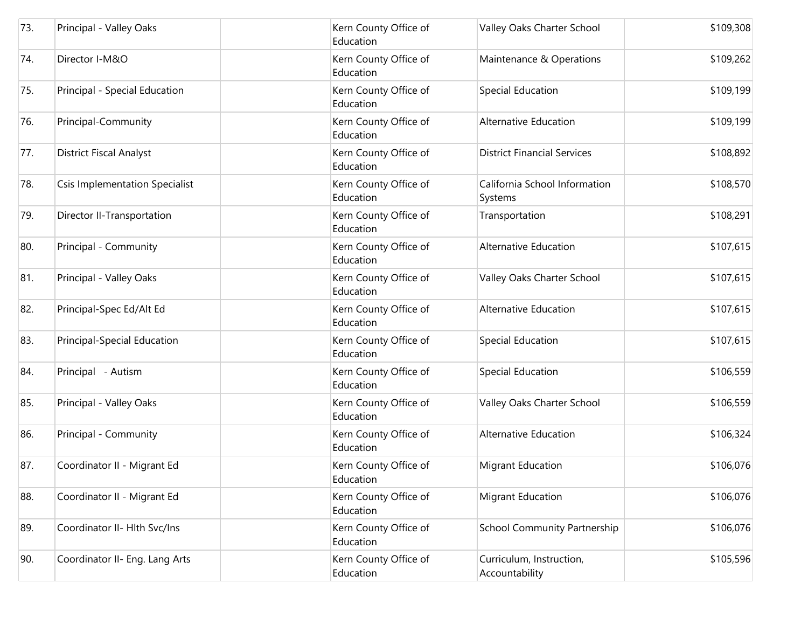| 73. | Principal - Valley Oaks               | Kern County Office of<br>Education | Valley Oaks Charter School                 | \$109,308 |
|-----|---------------------------------------|------------------------------------|--------------------------------------------|-----------|
| 74. | Director I-M&O                        | Kern County Office of<br>Education | Maintenance & Operations                   | \$109,262 |
| 75. | Principal - Special Education         | Kern County Office of<br>Education | Special Education                          | \$109,199 |
| 76. | Principal-Community                   | Kern County Office of<br>Education | <b>Alternative Education</b>               | \$109,199 |
| 77. | <b>District Fiscal Analyst</b>        | Kern County Office of<br>Education | <b>District Financial Services</b>         | \$108,892 |
| 78. | <b>Csis Implementation Specialist</b> | Kern County Office of<br>Education | California School Information<br>Systems   | \$108,570 |
| 79. | Director II-Transportation            | Kern County Office of<br>Education | Transportation                             | \$108,291 |
| 80. | Principal - Community                 | Kern County Office of<br>Education | Alternative Education                      | \$107,615 |
| 81. | Principal - Valley Oaks               | Kern County Office of<br>Education | Valley Oaks Charter School                 | \$107,615 |
| 82. | Principal-Spec Ed/Alt Ed              | Kern County Office of<br>Education | <b>Alternative Education</b>               | \$107,615 |
| 83. | Principal-Special Education           | Kern County Office of<br>Education | Special Education                          | \$107,615 |
| 84. | Principal - Autism                    | Kern County Office of<br>Education | Special Education                          | \$106,559 |
| 85. | Principal - Valley Oaks               | Kern County Office of<br>Education | Valley Oaks Charter School                 | \$106,559 |
| 86. | Principal - Community                 | Kern County Office of<br>Education | <b>Alternative Education</b>               | \$106,324 |
| 87. | Coordinator II - Migrant Ed           | Kern County Office of<br>Education | <b>Migrant Education</b>                   | \$106,076 |
| 88. | Coordinator II - Migrant Ed           | Kern County Office of<br>Education | <b>Migrant Education</b>                   | \$106,076 |
| 89. | Coordinator II- Hlth Svc/Ins          | Kern County Office of<br>Education | School Community Partnership               | \$106,076 |
| 90. | Coordinator II- Eng. Lang Arts        | Kern County Office of<br>Education | Curriculum, Instruction,<br>Accountability | \$105,596 |